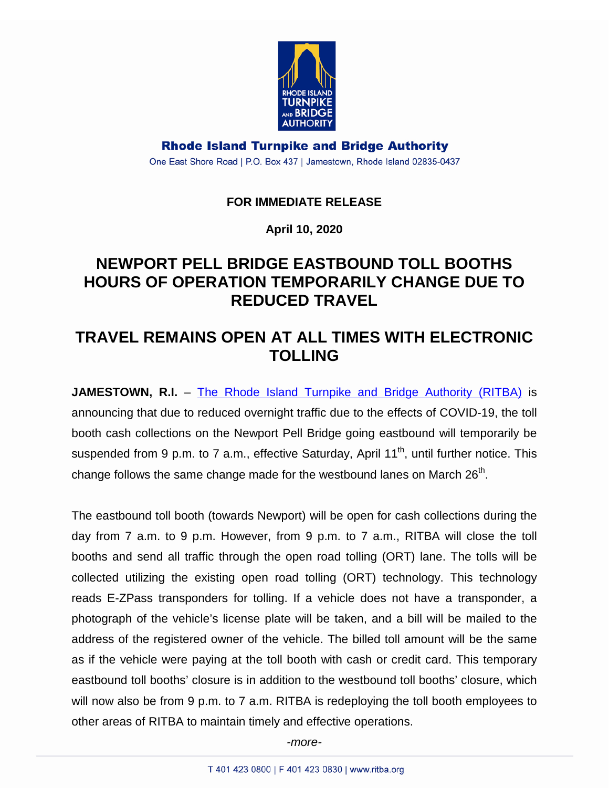

**Rhode Island Turnpike and Bridge Authority** One East Shore Road | P.O. Box 437 | Jamestown, Rhode Island 02835-0437

## **FOR IMMEDIATE RELEASE**

**April 10, 2020**

## **NEWPORT PELL BRIDGE EASTBOUND TOLL BOOTHS HOURS OF OPERATION TEMPORARILY CHANGE DUE TO REDUCED TRAVEL**

## **TRAVEL REMAINS OPEN AT ALL TIMES WITH ELECTRONIC TOLLING**

**JAMESTOWN, R.I.** – [The Rhode Island Turnpike and Bridge Authority \(RITBA\)](http://www.ritba.org/) is announcing that due to reduced overnight traffic due to the effects of COVID-19, the toll booth cash collections on the Newport Pell Bridge going eastbound will temporarily be suspended from 9 p.m. to 7 a.m., effective Saturday, April  $11<sup>th</sup>$ , until further notice. This change follows the same change made for the westbound lanes on March  $26<sup>th</sup>$ .

The eastbound toll booth (towards Newport) will be open for cash collections during the day from 7 a.m. to 9 p.m. However, from 9 p.m. to 7 a.m., RITBA will close the toll booths and send all traffic through the open road tolling (ORT) lane. The tolls will be collected utilizing the existing open road tolling (ORT) technology. This technology reads E-ZPass transponders for tolling. If a vehicle does not have a transponder, a photograph of the vehicle's license plate will be taken, and a bill will be mailed to the address of the registered owner of the vehicle. The billed toll amount will be the same as if the vehicle were paying at the toll booth with cash or credit card. This temporary eastbound toll booths' closure is in addition to the westbound toll booths' closure, which will now also be from 9 p.m. to 7 a.m. RITBA is redeploying the toll booth employees to other areas of RITBA to maintain timely and effective operations.

*-more-*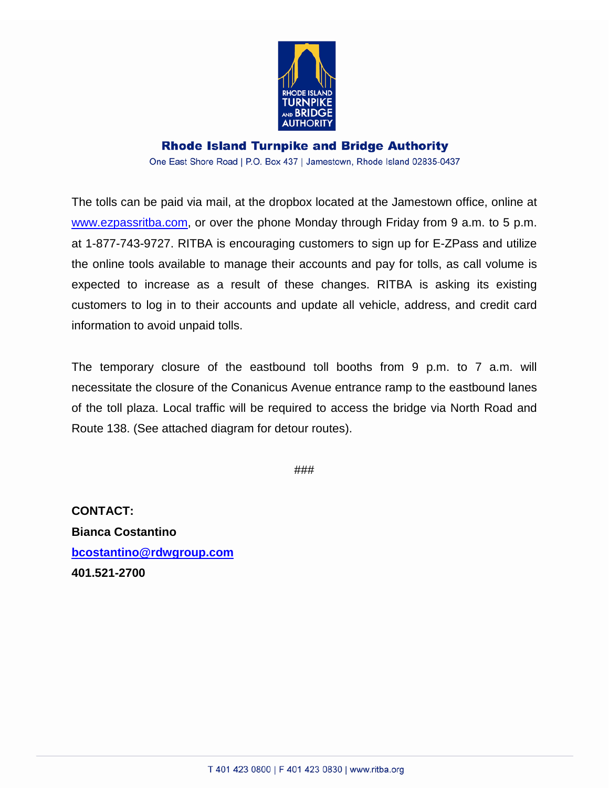

## **Rhode Island Turnpike and Bridge Authority** One East Shore Road | P.O. Box 437 | Jamestown, Rhode Island 02835-0437

The tolls can be paid via mail, at the dropbox located at the Jamestown office, online at [www.ezpassritba.com,](http://www.ezpassritba.com/) or over the phone Monday through Friday from 9 a.m. to 5 p.m. at 1-877-743-9727. RITBA is encouraging customers to sign up for E-ZPass and utilize the online tools available to manage their accounts and pay for tolls, as call volume is expected to increase as a result of these changes. RITBA is asking its existing customers to log in to their accounts and update all vehicle, address, and credit card information to avoid unpaid tolls.

The temporary closure of the eastbound toll booths from 9 p.m. to 7 a.m. will necessitate the closure of the Conanicus Avenue entrance ramp to the eastbound lanes of the toll plaza. Local traffic will be required to access the bridge via North Road and Route 138. (See attached diagram for detour routes).

###

**CONTACT: Bianca Costantino [bcostantino@rdwgroup.com](mailto:bcostantino@rdwgroup.com) 401.521-2700**